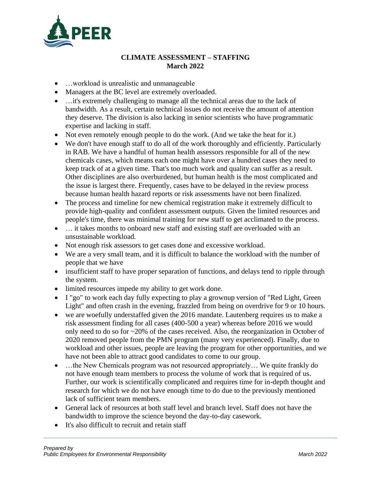

## **CLIMATE ASSESSMENT – STAFFING March 2022**

- …workload is unrealistic and unmanageable
- Managers at the BC level are extremely overloaded.
- ... it's extremely challenging to manage all the technical areas due to the lack of bandwidth. As a result, certain technical issues do not receive the amount of attention they deserve. The division is also lacking in senior scientists who have programmatic expertise and lacking in staff.
- Not even remotely enough people to do the work. (And we take the heat for it.)
- We don't have enough staff to do all of the work thoroughly and efficiently. Particularly in RAB. We have a handful of human health assessors responsible for all of the new chemicals cases, which means each one might have over a hundred cases they need to keep track of at a given time. That's too much work and quality can suffer as a result. Other disciplines are also overburdened, but human health is the most complicated and the issue is largest there. Frequently, cases have to be delayed in the review process because human health hazard reports or risk assessments have not been finalized.
- The process and timeline for new chemical registration make it extremely difficult to provide high-quality and confident assessment outputs. Given the limited resources and people's time, there was minimal training for new staff to get acclimated to the process.
- ... it takes months to onboard new staff and existing staff are overloaded with an unsustainable workload.
- Not enough risk assessors to get cases done and excessive workload.
- We are a very small team, and it is difficult to balance the workload with the number of people that we have
- insufficient staff to have proper separation of functions, and delays tend to ripple through the system.
- limited resources impede my ability to get work done.
- I "go" to work each day fully expecting to play a grownup version of "Red Light, Green Light" and often crash in the evening, frazzled from being on overdrive for 9 or 10 hours.
- we are woefully understaffed given the 2016 mandate. Lautenberg requires us to make a risk assessment finding for all cases (400-500 a year) whereas before 2016 we would only need to do so for ~20% of the cases received. Also, the reorganization in October of 2020 removed people from the PMN program (many very experienced). Finally, due to workload and other issues, people are leaving the program for other opportunities, and we have not been able to attract good candidates to come to our group.
- ...the New Chemicals program was not resourced appropriately... We quite frankly do not have enough team members to process the volume of work that is required of us. Further, our work is scientifically complicated and requires time for in-depth thought and research for which we do not have enough time to do due to the previously mentioned lack of sufficient team members.
- General lack of resources at both staff level and branch level. Staff does not have the bandwidth to improve the science beyond the day-to-day casework.
- It's also difficult to recruit and retain staff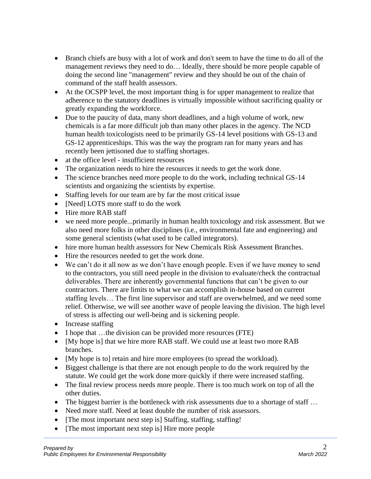- Branch chiefs are busy with a lot of work and don't seem to have the time to do all of the management reviews they need to do… Ideally, there should be more people capable of doing the second line "management" review and they should be out of the chain of command of the staff health assessors.
- At the OCSPP level, the most important thing is for upper management to realize that adherence to the statutory deadlines is virtually impossible without sacrificing quality or greatly expanding the workforce.
- Due to the paucity of data, many short deadlines, and a high volume of work, new chemicals is a far more difficult job than many other places in the agency. The NCD human health toxicologists need to be primarily GS-14 level positions with GS-13 and GS-12 apprenticeships. This was the way the program ran for many years and has recently been jettisoned due to staffing shortages.
- at the office level insufficient resources
- The organization needs to hire the resources it needs to get the work done.
- The science branches need more people to do the work, including technical GS-14 scientists and organizing the scientists by expertise.
- Staffing levels for our team are by far the most critical issue
- [Need] LOTS more staff to do the work
- Hire more RAB staff
- we need more people...primarily in human health toxicology and risk assessment. But we also need more folks in other disciplines (i.e., environmental fate and engineering) and some general scientists (what used to be called integrators).
- hire more human health assessors for New Chemicals Risk Assessment Branches.
- Hire the resources needed to get the work done.
- We can't do it all now as we don't have enough people. Even if we have money to send to the contractors, you still need people in the division to evaluate/check the contractual deliverables. There are inherently governmental functions that can't be given to our contractors. There are limits to what we can accomplish in-house based on current staffing levels… The first line supervisor and staff are overwhelmed, and we need some relief. Otherwise, we will see another wave of people leaving the division. The high level of stress is affecting our well-being and is sickening people.
- Increase staffing
- I hope that …the division can be provided more resources (FTE)
- [My hope is] that we hire more RAB staff. We could use at least two more RAB branches.
- [My hope is to] retain and hire more employees (to spread the workload).
- Biggest challenge is that there are not enough people to do the work required by the statute. We could get the work done more quickly if there were increased staffing.
- The final review process needs more people. There is too much work on top of all the other duties.
- The biggest barrier is the bottleneck with risk assessments due to a shortage of staff ...
- Need more staff. Need at least double the number of risk assessors.
- [The most important next step is] Staffing, staffing, staffing!
- [The most important next step is] Hire more people